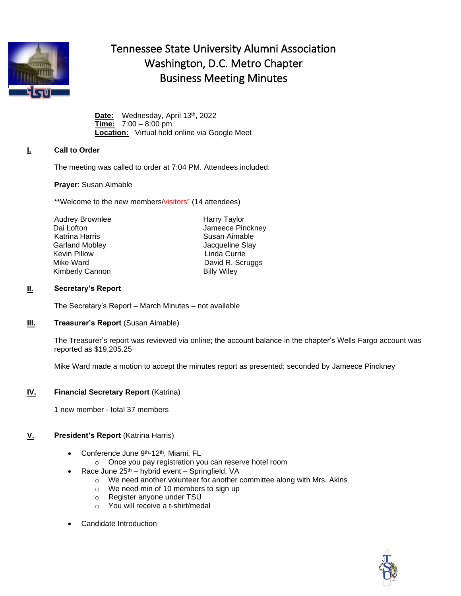

# Tennessee State University Alumni Association Washington, D.C. Metro Chapter Business Meeting Minutes

Date: Wednesday, April 13<sup>th</sup>, 2022 **Time:** 7:00 – 8:00 pm **Location:** Virtual held online via Google Meet

## **I. Call to Order**

The meeting was called to order at 7:04 PM. Attendees included:

**Prayer**: Susan Aimable

\*\*Welcome to the new members/visitors" (14 attendees)

Audrey Brownlee Dai Lofton Katrina Harris Garland Mobley **Garland Mobley Jacqueline Slay** Kevin Pillow **Linda Currie** Kimberly Cannon Billy Wiley

Harry Taylor Jameece Pinckney Susan Aimable Mike Ward **David R. Scruggs** 

### **II. Secretary's Report**

The Secretary's Report – March Minutes – not available

### **III. Treasurer's Report** (Susan Aimable)

The Treasurer's report was reviewed via online; the account balance in the chapter's Wells Fargo account was reported as \$19,205.25

Mike Ward made a motion to accept the minutes report as presented; seconded by Jameece Pinckney

#### **IV. Financial Secretary Report** (Katrina)

1 new member - total 37 members

#### **V. President's Report** (Katrina Harris)

- Conference June 9<sup>th</sup>-12<sup>th</sup>, Miami, FL
	- o Once you pay registration you can reserve hotel room
- Race June 25<sup>th</sup> hybrid event Springfield, VA
	- o We need another volunteer for another committee along with Mrs. Akins
	- o We need min of 10 members to sign up
	- o Register anyone under TSU
	- o You will receive a t-shirt/medal
- Candidate Introduction